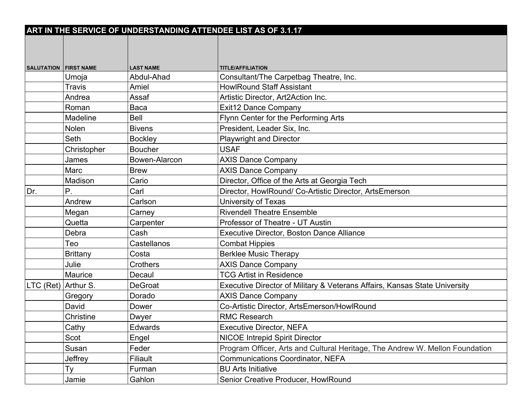|                                |                 | ART IN THE SERVICE OF UNDERSTANDING ATTENDEE LIST AS OF 3.1.17 |                                                                              |
|--------------------------------|-----------------|----------------------------------------------------------------|------------------------------------------------------------------------------|
|                                |                 |                                                                |                                                                              |
|                                |                 |                                                                |                                                                              |
|                                |                 | <b>LAST NAME</b>                                               | <b>TITLE/AFFILIATION</b>                                                     |
| <b>SALUTATION   FIRST NAME</b> | Umoja           | Abdul-Ahad                                                     | Consultant/The Carpetbag Theatre, Inc.                                       |
|                                | Travis          | Amiel                                                          | <b>HowlRound Staff Assistant</b>                                             |
|                                | Andrea          | Assaf                                                          | Artistic Director, Art2Action Inc.                                           |
|                                | Roman           | Baca                                                           | <b>Exit12 Dance Company</b>                                                  |
|                                | Madeline        | <b>Bell</b>                                                    | Flynn Center for the Performing Arts                                         |
|                                | Nolen           | <b>Bivens</b>                                                  | President, Leader Six, Inc.                                                  |
|                                | Seth            | <b>Bockley</b>                                                 | <b>Playwright and Director</b>                                               |
|                                | Christopher     | <b>Boucher</b>                                                 | <b>USAF</b>                                                                  |
|                                | James           | Bowen-Alarcon                                                  | <b>AXIS Dance Company</b>                                                    |
|                                | Marc            | <b>Brew</b>                                                    | <b>AXIS Dance Company</b>                                                    |
|                                | Madison         | Cario                                                          | Director, Office of the Arts at Georgia Tech                                 |
| Dr.                            | Ρ.              | Carl                                                           | Director, HowlRound/ Co-Artistic Director, ArtsEmerson                       |
|                                | Andrew          | Carlson                                                        | University of Texas                                                          |
|                                | Megan           | Carney                                                         | <b>Rivendell Theatre Ensemble</b>                                            |
|                                | Quetta          | Carpenter                                                      | Professor of Theatre - UT Austin                                             |
|                                | Debra           | Cash                                                           | Executive Director, Boston Dance Alliance                                    |
|                                | Teo             | Castellanos                                                    | <b>Combat Hippies</b>                                                        |
|                                | <b>Brittany</b> | Costa                                                          | <b>Berklee Music Therapy</b>                                                 |
|                                | Julie           | Crothers                                                       | <b>AXIS Dance Company</b>                                                    |
|                                | Maurice         | Decaul                                                         | <b>TCG Artist in Residence</b>                                               |
| LTC (Ret) Arthur S.            |                 | <b>DeGroat</b>                                                 | Executive Director of Military & Veterans Affairs, Kansas State University   |
|                                | Gregory         | Dorado                                                         | <b>AXIS Dance Company</b>                                                    |
|                                | David           | Dower                                                          | Co-Artistic Director, ArtsEmerson/HowlRound                                  |
|                                | Christine       | Dwyer                                                          | <b>RMC Research</b>                                                          |
|                                | Cathy           | <b>Edwards</b>                                                 | <b>Executive Director, NEFA</b>                                              |
|                                | Scot            | Engel                                                          | <b>NICOE Intrepid Spirit Director</b>                                        |
|                                | Susan           | Feder                                                          | Program Officer, Arts and Cultural Heritage, The Andrew W. Mellon Foundation |
|                                | Jeffrey         | Filiault                                                       | <b>Communications Coordinator, NEFA</b>                                      |
|                                | Ty              | Furman                                                         | <b>BU Arts Initiative</b>                                                    |
|                                | Jamie           | Gahlon                                                         | Senior Creative Producer, HowlRound                                          |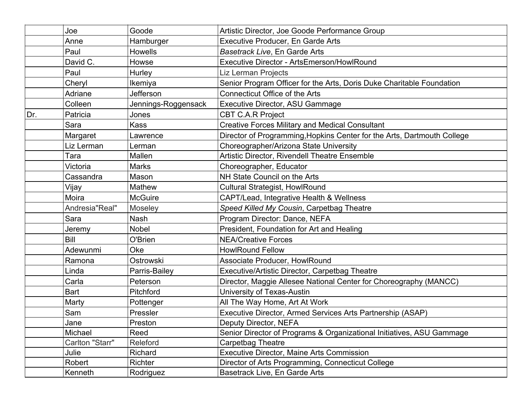|     | Joe             | Goode               | Artistic Director, Joe Goode Performance Group                          |
|-----|-----------------|---------------------|-------------------------------------------------------------------------|
|     | Anne            | Hamburger           | <b>Executive Producer, En Garde Arts</b>                                |
|     | Paul            | <b>Howells</b>      | Basetrack Live, En Garde Arts                                           |
|     | David C.        | Howse               | Executive Director - ArtsEmerson/HowlRound                              |
|     | Paul            | Hurley              | <b>Liz Lerman Projects</b>                                              |
|     | Cheryl          | Ikemiya             | Senior Program Officer for the Arts, Doris Duke Charitable Foundation   |
|     | Adriane         | Jefferson           | <b>Connecticut Office of the Arts</b>                                   |
|     | Colleen         | Jennings-Roggensack | <b>Executive Director, ASU Gammage</b>                                  |
| Dr. | Patricia        | Jones               | <b>CBT C.A.R Project</b>                                                |
|     | Sara            | <b>Kass</b>         | <b>Creative Forces Military and Medical Consultant</b>                  |
|     | Margaret        | Lawrence            | Director of Programming, Hopkins Center for the Arts, Dartmouth College |
|     | Liz Lerman      | Lerman              | Choreographer/Arizona State University                                  |
|     | Tara            | Mallen              | Artistic Director, Rivendell Theatre Ensemble                           |
|     | Victoria        | <b>Marks</b>        | Choreographer, Educator                                                 |
|     | Cassandra       | Mason               | NH State Council on the Arts                                            |
|     | Vijay           | Mathew              | <b>Cultural Strategist, HowlRound</b>                                   |
|     | Moira           | <b>McGuire</b>      | CAPT/Lead, Integrative Health & Wellness                                |
|     | Andresia"Real"  | Moseley             | Speed Killed My Cousin, Carpetbag Theatre                               |
|     | Sara            | <b>Nash</b>         | Program Director: Dance, NEFA                                           |
|     | Jeremy          | <b>Nobel</b>        | President, Foundation for Art and Healing                               |
|     | Bill            | O'Brien             | <b>NEA/Creative Forces</b>                                              |
|     | Adewunmi        | Oke                 | <b>HowlRound Fellow</b>                                                 |
|     | Ramona          | Ostrowski           | Associate Producer, HowlRound                                           |
|     | Linda           | Parris-Bailey       | Executive/Artistic Director, Carpetbag Theatre                          |
|     | Carla           | Peterson            | Director, Maggie Allesee National Center for Choreography (MANCC)       |
|     | <b>Bart</b>     | Pitchford           | University of Texas-Austin                                              |
|     | Marty           | Pottenger           | All The Way Home, Art At Work                                           |
|     | Sam             | Pressler            | Executive Director, Armed Services Arts Partnership (ASAP)              |
|     | Jane            | Preston             | Deputy Director, NEFA                                                   |
|     | Michael         | Reed                | Senior Director of Programs & Organizational Initiatives, ASU Gammage   |
|     | Carlton "Starr" | Releford            | <b>Carpetbag Theatre</b>                                                |
|     | Julie           | Richard             | Executive Director, Maine Arts Commission                               |
|     | Robert          | Richter             | Director of Arts Programming, Connecticut College                       |
|     | Kenneth         | Rodriguez           | Basetrack Live, En Garde Arts                                           |